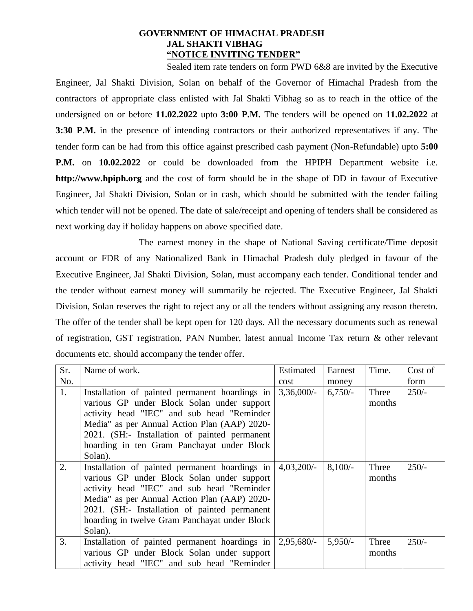#### **GOVERNMENT OF HIMACHAL PRADESH JAL SHAKTI VIBHAG "NOTICE INVITING TENDER"**

Sealed item rate tenders on form PWD 6&8 are invited by the Executive Engineer, Jal Shakti Division, Solan on behalf of the Governor of Himachal Pradesh from the contractors of appropriate class enlisted with Jal Shakti Vibhag so as to reach in the office of the undersigned on or before **11.02.2022** upto **3:00 P.M.** The tenders will be opened on **11.02.2022** at **3:30 P.M.** in the presence of intending contractors or their authorized representatives if any. The tender form can be had from this office against prescribed cash payment (Non-Refundable) upto **5:00 P.M.** on **10.02.2022** or could be downloaded from the HPIPH Department website i.e. **http://www.hpiph.org** and the cost of form should be in the shape of DD in favour of Executive Engineer, Jal Shakti Division, Solan or in cash, which should be submitted with the tender failing which tender will not be opened. The date of sale/receipt and opening of tenders shall be considered as next working day if holiday happens on above specified date.

The earnest money in the shape of National Saving certificate/Time deposit account or FDR of any Nationalized Bank in Himachal Pradesh duly pledged in favour of the Executive Engineer, Jal Shakti Division, Solan, must accompany each tender. Conditional tender and the tender without earnest money will summarily be rejected. The Executive Engineer, Jal Shakti Division, Solan reserves the right to reject any or all the tenders without assigning any reason thereto. The offer of the tender shall be kept open for 120 days. All the necessary documents such as renewal of registration, GST registration, PAN Number, latest annual Income Tax return & other relevant documents etc. should accompany the tender offer.

| Sr. | Name of work.                                                                                                                                                                                                                                                                                           | Estimated     | Earnest   | Time.           | Cost of |
|-----|---------------------------------------------------------------------------------------------------------------------------------------------------------------------------------------------------------------------------------------------------------------------------------------------------------|---------------|-----------|-----------------|---------|
| No. |                                                                                                                                                                                                                                                                                                         | cost          | money     |                 | form    |
| 1.  | Installation of painted permanent hoardings in<br>various GP under Block Solan under support<br>activity head "IEC" and sub head "Reminder<br>Media" as per Annual Action Plan (AAP) 2020-<br>2021. (SH:- Installation of painted permanent<br>hoarding in ten Gram Panchayat under Block               | $3,36,000/$ - | $6,750/-$ | Three<br>months | $250/-$ |
|     | Solan).                                                                                                                                                                                                                                                                                                 |               |           |                 |         |
| 2.  | Installation of painted permanent hoardings in<br>various GP under Block Solan under support<br>activity head "IEC" and sub head "Reminder<br>Media" as per Annual Action Plan (AAP) 2020-<br>2021. (SH:- Installation of painted permanent<br>hoarding in twelve Gram Panchayat under Block<br>Solan). | $4,03,200/-$  | $8,100/-$ | Three<br>months | $250/-$ |
| 3.  | Installation of painted permanent hoardings in<br>various GP under Block Solan under support<br>activity head "IEC" and sub head "Reminder                                                                                                                                                              | 2,95,680/     | $5,950/-$ | Three<br>months | $250/-$ |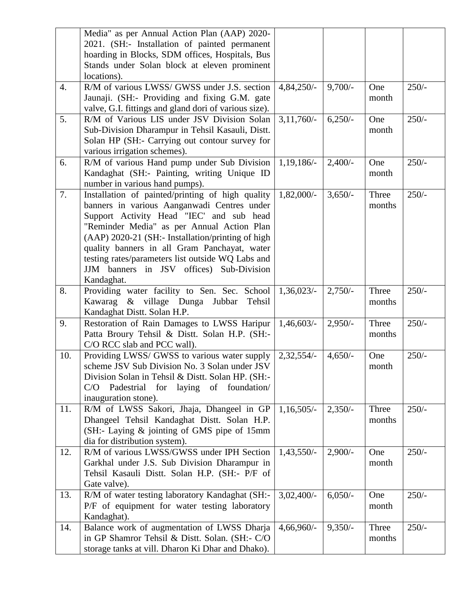|                  | Media" as per Annual Action Plan (AAP) 2020-                                                 |              |           |        |         |
|------------------|----------------------------------------------------------------------------------------------|--------------|-----------|--------|---------|
|                  | 2021. (SH:- Installation of painted permanent                                                |              |           |        |         |
|                  | hoarding in Blocks, SDM offices, Hospitals, Bus                                              |              |           |        |         |
|                  | Stands under Solan block at eleven prominent                                                 |              |           |        |         |
|                  | locations).                                                                                  |              |           |        |         |
| $\overline{4}$ . | R/M of various LWSS/ GWSS under J.S. section                                                 | $4,84,250/-$ | $9,700/-$ | One    | $250/-$ |
|                  | Jaunaji. (SH:- Providing and fixing G.M. gate                                                |              |           | month  |         |
|                  | valve, G.I. fittings and gland dori of various size).                                        |              |           |        |         |
| 5.               | R/M of Various LIS under JSV Division Solan                                                  | $3,11,760/-$ | $6,250/-$ | One    | $250/-$ |
|                  | Sub-Division Dharampur in Tehsil Kasauli, Distt.                                             |              |           | month  |         |
|                  | Solan HP (SH:- Carrying out contour survey for                                               |              |           |        |         |
|                  | various irrigation schemes).                                                                 |              |           |        |         |
| 6.               | R/M of various Hand pump under Sub Division                                                  | 1,19,186/-   | $2,400/-$ | One    | $250/-$ |
|                  | Kandaghat (SH:- Painting, writing Unique ID                                                  |              |           | month  |         |
|                  | number in various hand pumps).                                                               |              |           |        |         |
| 7.               | Installation of painted/printing of high quality                                             | $1,82,000/-$ | $3,650/-$ | Three  | $250/-$ |
|                  | banners in various Aanganwadi Centres under                                                  |              |           | months |         |
|                  | Support Activity Head "IEC' and sub head                                                     |              |           |        |         |
|                  | "Reminder Media" as per Annual Action Plan                                                   |              |           |        |         |
|                  | (AAP) 2020-21 (SH:- Installation/printing of high                                            |              |           |        |         |
|                  | quality banners in all Gram Panchayat, water                                                 |              |           |        |         |
|                  | testing rates/parameters list outside WQ Labs and                                            |              |           |        |         |
|                  | JJM banners in JSV offices) Sub-Division                                                     |              |           |        |         |
|                  | Kandaghat.                                                                                   |              |           |        |         |
| 8.               | Providing water facility to Sen. Sec. School                                                 | $1,36,023/-$ | $2,750/-$ | Three  | $250/-$ |
|                  | & village Dunga Jubbar<br>Kawarag<br>Tehsil                                                  |              |           | months |         |
|                  | Kandaghat Distt. Solan H.P.                                                                  |              |           |        |         |
| 9.               | Restoration of Rain Damages to LWSS Haripur<br>Patta Broury Tehsil & Distt. Solan H.P. (SH:- | 1,46,603/    | $2,950/-$ | Three  | $250/-$ |
|                  | C/O RCC slab and PCC wall).                                                                  |              |           | months |         |
| 10.              | Providing LWSS/ GWSS to various water supply                                                 |              |           | One    | $250/-$ |
|                  | scheme JSV Sub Division No. 3 Solan under JSV                                                | $2,32,554/-$ | $4,650/-$ |        |         |
|                  | Division Solan in Tehsil & Distt. Solan HP. (SH:-                                            |              |           | month  |         |
|                  | Padestrial for laying of foundation/<br>C/O                                                  |              |           |        |         |
|                  | inauguration stone).                                                                         |              |           |        |         |
| 11.              | R/M of LWSS Sakori, Jhaja, Dhangeel in GP                                                    | $1,16,505/-$ | $2,350/-$ | Three  | $250/-$ |
|                  | Dhangeel Tehsil Kandaghat Distt. Solan H.P.                                                  |              |           | months |         |
|                  | (SH:- Laying & jointing of GMS pipe of 15mm                                                  |              |           |        |         |
|                  | dia for distribution system).                                                                |              |           |        |         |
| 12.              | R/M of various LWSS/GWSS under IPH Section                                                   | $1,43,550/-$ | $2,900/-$ | One    | $250/-$ |
|                  | Garkhal under J.S. Sub Division Dharampur in                                                 |              |           | month  |         |
|                  | Tehsil Kasauli Distt. Solan H.P. (SH:- P/F of                                                |              |           |        |         |
|                  | Gate valve).                                                                                 |              |           |        |         |
| 13.              | R/M of water testing laboratory Kandaghat (SH:-                                              | $3,02,400/-$ | $6,050/-$ | One    | $250/-$ |
|                  | P/F of equipment for water testing laboratory                                                |              |           | month  |         |
|                  | Kandaghat).                                                                                  |              |           |        |         |
| 14.              | Balance work of augmentation of LWSS Dharja                                                  | $4,66,960/-$ | $9,350/-$ | Three  | $250/-$ |
|                  | in GP Shamror Tehsil & Distt. Solan. (SH:- C/O                                               |              |           | months |         |
|                  | storage tanks at vill. Dharon Ki Dhar and Dhako).                                            |              |           |        |         |